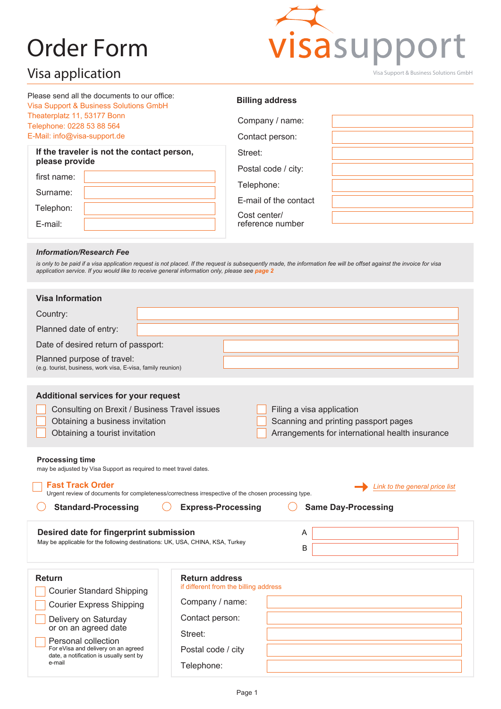# Order Form



| Please send all the documents to our office: |
|----------------------------------------------|
| Visa Support & Business Solutions GmbH       |
| Theaterplatz 11, 53177 Bonn                  |
| Telephone: 0228 53 88 564                    |
| E-Mail: info@visa-support.de                 |

| If the traveler is not the contact person,<br>please provide |  |  |  |  |  |
|--------------------------------------------------------------|--|--|--|--|--|
| first name:                                                  |  |  |  |  |  |
| Surname:                                                     |  |  |  |  |  |
| Telephon:                                                    |  |  |  |  |  |
| $F$ -mail:                                                   |  |  |  |  |  |

#### **Billing address**

| Company / name:                  |  |
|----------------------------------|--|
| Contact person:                  |  |
| Street:                          |  |
| Postal code / city:              |  |
| Telephone:                       |  |
| E-mail of the contact            |  |
| Cost center/<br>reference number |  |

#### *Information/Research Fee*

*is only to be paid if a visa application request is not placed. If the request is subsequently made, the information fee will be offset against the invoice for visa application service. If you would like to receive general information only, please see page 2*

| <b>Visa Information</b>                                                                                                                                                                                                                                                                                                                                  |                                       |                                                                                                                      |  |  |  |  |
|----------------------------------------------------------------------------------------------------------------------------------------------------------------------------------------------------------------------------------------------------------------------------------------------------------------------------------------------------------|---------------------------------------|----------------------------------------------------------------------------------------------------------------------|--|--|--|--|
| Country:                                                                                                                                                                                                                                                                                                                                                 |                                       |                                                                                                                      |  |  |  |  |
| Planned date of entry:                                                                                                                                                                                                                                                                                                                                   |                                       |                                                                                                                      |  |  |  |  |
| Date of desired return of passport:                                                                                                                                                                                                                                                                                                                      |                                       |                                                                                                                      |  |  |  |  |
| Planned purpose of travel:<br>(e.g. tourist, business, work visa, E-visa, family reunion)                                                                                                                                                                                                                                                                |                                       |                                                                                                                      |  |  |  |  |
| Additional services for your request<br>Consulting on Brexit / Business Travel issues<br>Obtaining a business invitation<br>Obtaining a tourist invitation                                                                                                                                                                                               |                                       | Filing a visa application<br>Scanning and printing passport pages<br>Arrangements for international health insurance |  |  |  |  |
| <b>Processing time</b><br>may be adjusted by Visa Support as required to meet travel dates.<br><b>Fast Track Order</b><br>Link to the general price list<br>Urgent review of documents for completeness/correctness irrespective of the chosen processing type.<br><b>Standard-Processing</b><br><b>Same Day-Processing</b><br><b>Express-Processing</b> |                                       |                                                                                                                      |  |  |  |  |
|                                                                                                                                                                                                                                                                                                                                                          |                                       |                                                                                                                      |  |  |  |  |
| Desired date for fingerprint submission<br>May be applicable for the following destinations: UK, USA, CHINA, KSA, Turkey                                                                                                                                                                                                                                 |                                       | A<br>B                                                                                                               |  |  |  |  |
| <b>Return</b>                                                                                                                                                                                                                                                                                                                                            | <b>Return address</b>                 |                                                                                                                      |  |  |  |  |
| <b>Courier Standard Shipping</b>                                                                                                                                                                                                                                                                                                                         | if different from the billing address |                                                                                                                      |  |  |  |  |
| <b>Courier Express Shipping</b>                                                                                                                                                                                                                                                                                                                          | Company / name:                       |                                                                                                                      |  |  |  |  |
| Delivery on Saturday                                                                                                                                                                                                                                                                                                                                     | Contact person:                       |                                                                                                                      |  |  |  |  |
| or on an agreed date                                                                                                                                                                                                                                                                                                                                     | Street:                               |                                                                                                                      |  |  |  |  |
| Personal collection<br>For eVisa and delivery on an agreed<br>date, a notification is usually sent by                                                                                                                                                                                                                                                    | Postal code / city                    |                                                                                                                      |  |  |  |  |